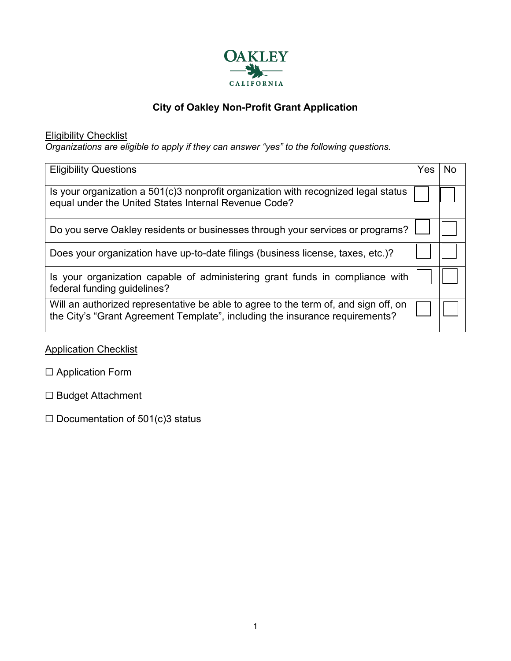

# **City of Oakley Non-Profit Grant Application**

Eligibility Checklist

*Organizations are eligible to apply if they can answer "yes" to the following questions.*

| <b>Eligibility Questions</b>                                                                                                                                        | Yes | N٥ |
|---------------------------------------------------------------------------------------------------------------------------------------------------------------------|-----|----|
| Is your organization a 501(c)3 nonprofit organization with recognized legal status<br>equal under the United States Internal Revenue Code?                          |     |    |
| Do you serve Oakley residents or businesses through your services or programs?                                                                                      |     |    |
| Does your organization have up-to-date filings (business license, taxes, etc.)?                                                                                     |     |    |
| Is your organization capable of administering grant funds in compliance with<br>federal funding guidelines?                                                         |     |    |
| Will an authorized representative be able to agree to the term of, and sign off, on<br>the City's "Grant Agreement Template", including the insurance requirements? |     |    |

**Application Checklist** 

- □ Application Form
- ☐ Budget Attachment
- $\Box$  Documentation of 501(c)3 status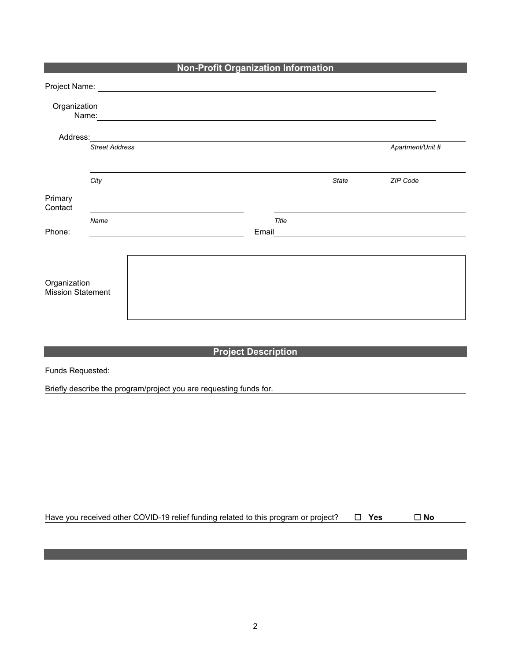| <b>Non-Profit Organization Information</b> |                       |                                                                                                                                                                                                                                |       |                                             |                  |  |
|--------------------------------------------|-----------------------|--------------------------------------------------------------------------------------------------------------------------------------------------------------------------------------------------------------------------------|-------|---------------------------------------------|------------------|--|
|                                            |                       | Project Name: University of the Contract of the Contract of the Contract of the Contract of the Contract of the Contract of the Contract of the Contract of the Contract of the Contract of the Contract of the Contract of th |       |                                             |                  |  |
| Organization                               | Name:                 |                                                                                                                                                                                                                                |       |                                             |                  |  |
| Address:                                   |                       |                                                                                                                                                                                                                                |       |                                             |                  |  |
|                                            | <b>Street Address</b> |                                                                                                                                                                                                                                |       |                                             | Apartment/Unit # |  |
|                                            | City                  |                                                                                                                                                                                                                                |       | <b>State</b>                                | ZIP Code         |  |
| Primary<br>Contact                         |                       |                                                                                                                                                                                                                                |       |                                             |                  |  |
| Phone:                                     | Name                  | Email                                                                                                                                                                                                                          | Title | <u> 1980 - Jan Samuel Barbara, martin a</u> |                  |  |
| Organization<br><b>Mission Statement</b>   |                       |                                                                                                                                                                                                                                |       |                                             |                  |  |

## **Project Description**

Funds Requested:

Briefly describe the program/project you are requesting funds for.

Have you received other COVID-19 relief funding related to this program or project?☐ **Yes** ☐ **No**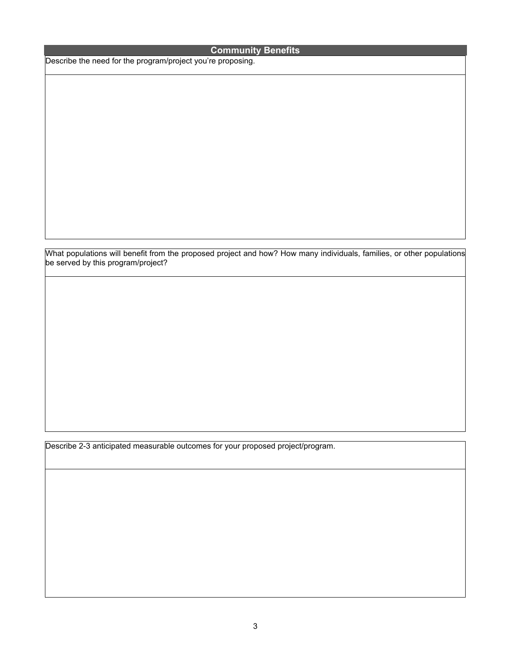### **Community Benefits**

Describe the need for the program/project you're proposing.

What populations will benefit from the proposed project and how? How many individuals, families, or other populations be served by this program/project?

Describe 2-3 anticipated measurable outcomes for your proposed project/program.